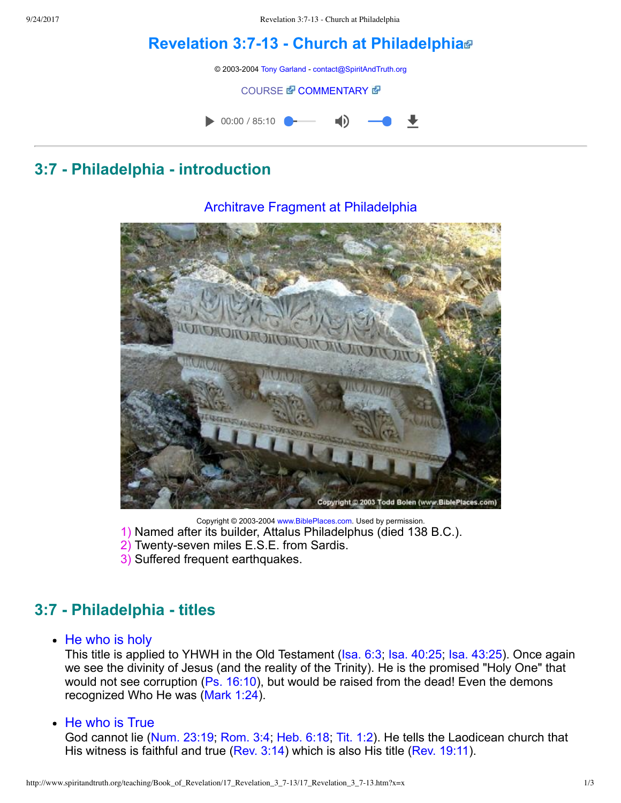# **Revelation 3:713 Church at [Philadelphia](http://www.spiritandtruth.org/teaching/Book_of_Revelation/17_Revelation_3_7-13/index.htm)**

© 2003-2004 [Tony Garland](http://www.spiritandtruth.org/teaching/teachers/tony_garland/bio.htm) - [contact@SpiritAndTruth.org](mailto:contact@SpiritAndTruth.org?subject=ST-MAIL:%20Revelation%203:7-13%20-%20Church%20at%20Philadelphia)

#### **[COURSE](http://www.spiritandtruth.org/teaching/Book_of_Revelation/17_Revelation_3_7-13/index.htm) & [COMMENTARY](http://www.spiritandtruth.org/teaching/Book_of_Revelation/commentary/htm/index.html?Revelation_3:7) &**



# **3:7 Philadelphia introduction**

### Architrave Fragment at Philadelphia



Copyright © 2003-2004 [www.BiblePlaces.com](http://www.bibleplaces.com/). Used by permission.

- 1) Named after its builder, Attalus Philadelphus (died 138 B.C.).
- 2) Twenty-seven miles E.S.E. from Sardis.
- 3) Suffered frequent earthquakes.

# **3:7 Philadelphia titles**

• He who is holy

This title is applied to YHWH in the Old Testament [\(Isa. 6:3](http://www.spiritandtruth.org/bibles/nasb/b23c006.htm#Isa._C6V3); [Isa. 40:25;](http://www.spiritandtruth.org/bibles/nasb/b23c040.htm#Isa._C40V25) [Isa. 43:25](http://www.spiritandtruth.org/bibles/nasb/b23c043.htm#Isa._C43V25)). Once again we see the divinity of Jesus (and the reality of the Trinity). He is the promised "Holy One" that would not see corruption [\(Ps. 16:10\)](http://www.spiritandtruth.org/bibles/nasb/b19c016.htm#Ps._C16V10), but would be raised from the dead! Even the demons recognized Who He was [\(Mark 1:24\)](http://www.spiritandtruth.org/bibles/nasb/b41c001.htm#Mark_C1V24).

• He who is True

God cannot lie ([Num. 23:19;](http://www.spiritandtruth.org/bibles/nasb/b04c023.htm#Num._C23V19) [Rom. 3:4](http://www.spiritandtruth.org/bibles/nasb/b45c003.htm#Rom._C3V4); [Heb. 6:18](http://www.spiritandtruth.org/bibles/nasb/b58c006.htm#Heb._C6V18); [Tit. 1:2\)](http://www.spiritandtruth.org/bibles/nasb/b56c001.htm#Tit._C1V2). He tells the Laodicean church that His witness is faithful and true [\(Rev. 3:14\)](http://www.spiritandtruth.org/bibles/nasb/b66c003.htm#Rev._C3V14) which is also His title [\(Rev. 19:11\)](http://www.spiritandtruth.org/bibles/nasb/b66c019.htm#Rev._C19V11).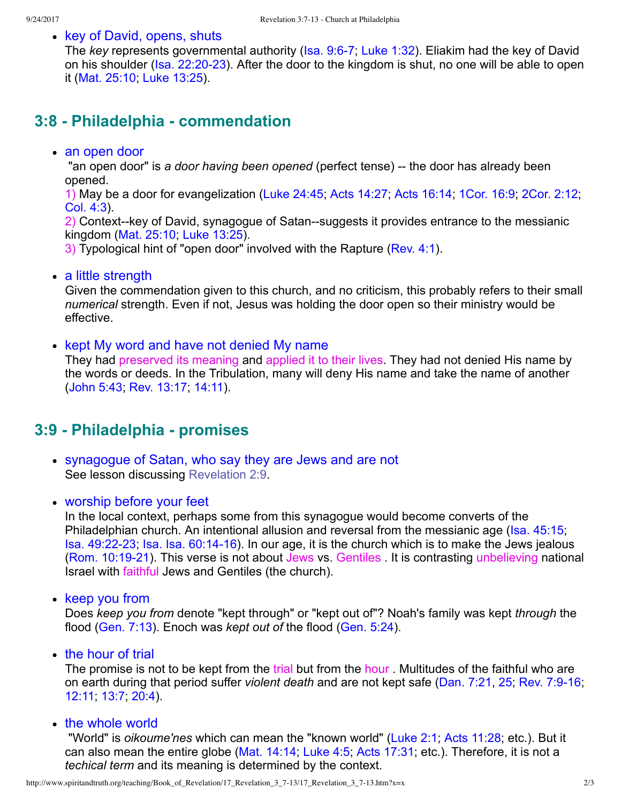• key of David, opens, shuts

The *key* represents governmental authority (Isa. 9:6-7; [Luke 1:32](http://www.spiritandtruth.org/bibles/nasb/b42c001.htm#Luke_C1V32)). Eliakim had the key of David on his shoulder (Isa. 22:20-23). After the door to the kingdom is shut, no one will be able to open it ([Mat. 25:10](http://www.spiritandtruth.org/bibles/nasb/b40c025.htm#Mat._C25V10); [Luke 13:25](http://www.spiritandtruth.org/bibles/nasb/b42c013.htm#Luke_C13V25)).

### **3:8 Philadelphia commendation**

#### an open door

"an open door" is a door having been opened (perfect tense) -- the door has already been opened.

1) May be a door for evangelization ([Luke 24:45](http://www.spiritandtruth.org/bibles/nasb/b42c024.htm#Luke_C24V45); [Acts 14:27](http://www.spiritandtruth.org/bibles/nasb/b44c014.htm#Acts_C14V27); [Acts 16:14;](http://www.spiritandtruth.org/bibles/nasb/b44c016.htm#Acts_C16V14) [1Cor. 16:9](http://www.spiritandtruth.org/bibles/nasb/b46c016.htm#1Cor._C16V9); [2Cor. 2:12](http://www.spiritandtruth.org/bibles/nasb/b47c002.htm#2Cor._C2V12); [Col. 4:3](http://www.spiritandtruth.org/bibles/nasb/b51c004.htm#Col._C4V3)).

2) Context--key of David, synagogue of Satan--suggests it provides entrance to the messianic kingdom ([Mat. 25:10;](http://www.spiritandtruth.org/bibles/nasb/b40c025.htm#Mat._C25V10) [Luke 13:25\)](http://www.spiritandtruth.org/bibles/nasb/b42c013.htm#Luke_C13V25).

3) Typological hint of "open door" involved with the Rapture [\(Rev. 4:1\)](http://www.spiritandtruth.org/bibles/nasb/b66c004.htm#Rev._C4V1).

• a little strength

Given the commendation given to this church, and no criticism, this probably refers to their small *numerical* strength. Even if not, Jesus was holding the door open so their ministry would be effective.

• kept My word and have not denied My name

They had preserved its meaning and applied it to their lives. They had not denied His name by the words or deeds. In the Tribulation, many will deny His name and take the name of another [\(John 5:43;](http://www.spiritandtruth.org/bibles/nasb/b43c005.htm#John_C5V43) Rev. 13:17, [14:11](http://www.spiritandtruth.org/bibles/nasb/b66c014.htm#Rev._C14V11)).

### **3:9 Philadelphia promises**

- synagogue of Satan, who say they are Jews and are not See lesson discussing [Revelation 2:9.](http://www.spiritandtruth.org/teaching/Book_of_Revelation/14_Revelation_2_1-11/index.htm)
- worship before your feet

In the local context, perhaps some from this synagogue would become converts of the Philadelphian church. An intentional allusion and reversal from the messianic age [\(Isa. 45:15](http://www.spiritandtruth.org/bibles/nasb/b23c045.htm#Isa._C45V15); [Isa. 49:2223](http://www.spiritandtruth.org/bibles/nasb/b23c049.htm#Isa._C49V22); [Isa. Isa. 60:1416\)](http://www.spiritandtruth.org/bibles/nasb/b23c060.htm#Isa._C60V14). In our age, it is the church which is to make the Jews jealous (Rom. 10:19-21). This verse is not about Jews vs. Gentiles . It is contrasting unbelieving national Israel with faithful Jews and Gentiles (the church).

• keep you from

Does *keep you from* denote "kept through" or "kept out of"? Noah's family was kept *through* the flood [\(Gen. 7:13](http://www.spiritandtruth.org/bibles/nasb/b01c007.htm#Gen._C7V13)). Enoch was *kept out of* the flood ([Gen. 5:24](http://www.spiritandtruth.org/bibles/nasb/b01c005.htm#Gen._C5V24)).

 $\bullet$  the hour of trial

The promise is not to be kept from the trial but from the hour. Multitudes of the faithful who are on earth during that period suffer *violent death* and are not kept safe [\(Dan. 7:21](http://www.spiritandtruth.org/bibles/nasb/b27c007.htm#Dan._C7V21), [25](http://www.spiritandtruth.org/bibles/nasb/b27c007.htm#Dan._C7V25); [Rev. 7:916](http://www.spiritandtruth.org/bibles/nasb/b66c007.htm#Rev._C7V9); [12:11](http://www.spiritandtruth.org/bibles/nasb/b66c012.htm#Rev._C12V11); [13:7](http://www.spiritandtruth.org/bibles/nasb/b66c013.htm#Rev._C13V7); [20:4](http://www.spiritandtruth.org/bibles/nasb/b66c020.htm#Rev._C20V4)).

• the whole world

 "World" is *oikoume'nes* which can mean the "known world" [\(Luke 2:1;](http://www.spiritandtruth.org/bibles/nasb/b42c002.htm#Luke_C2V1) [Acts 11:28](http://www.spiritandtruth.org/bibles/nasb/b44c011.htm#Acts_C11V28); etc.). But it can also mean the entire globe ([Mat. 14:14](http://www.spiritandtruth.org/bibles/nasb/b40c024.htm#Mat._C24V14); [Luke 4:5](http://www.spiritandtruth.org/bibles/nasb/b42c004.htm#Luke_C4V5); [Acts 17:31;](http://www.spiritandtruth.org/bibles/nasb/b44c017.htm#Acts_C17V31) etc.). Therefore, it is not a *techical term* and its meaning is determined by the context.